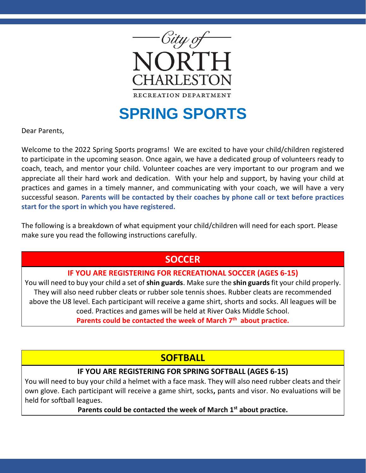

# **SPRING SPORTS**

Dear Parents,

Welcome to the 2022 Spring Sports programs! We are excited to have your child/children registered to participate in the upcoming season. Once again, we have a dedicated group of volunteers ready to coach, teach, and mentor your child. Volunteer coaches are very important to our program and we appreciate all their hard work and dedication. With your help and support, by having your child at practices and games in a timely manner, and communicating with your coach, we will have a very successful season. **Parents will be contacted by their coaches by phone call or text before practices start for the sport in which you have registered.**

The following is a breakdown of what equipment your child/children will need for each sport. Please make sure you read the following instructions carefully.

# **SOCCER**

### **IF YOU ARE REGISTERING FOR RECREATIONAL SOCCER (AGES 6-15)**

You will need to buy your child a set of **shin guards**. Make sure the **shin guards** fit your child properly. They will also need rubber cleats or rubber sole tennis shoes. Rubber cleats are recommended above the U8 level. Each participant will receive a game shirt, shorts and socks. All leagues will be coed. Practices and games will be held at River Oaks Middle School.

**Parents could be contacted the week of March 7th about practice.**

# **SOFTBALL**

#### **IF YOU ARE REGISTERING FOR SPRING SOFTBALL (AGES 6-15)**

You will need to buy your child a helmet with a face mask. They will also need rubber cleats and their own glove. Each participant will receive a game shirt, socks**,** pants and visor. No evaluations will be held for softball leagues.

**Parents could be contacted the week of March 1st about practice.**